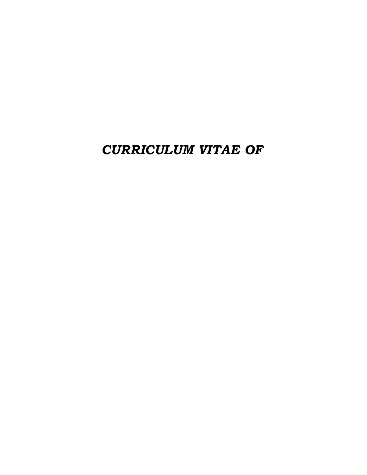CURRICULUM VITAE OF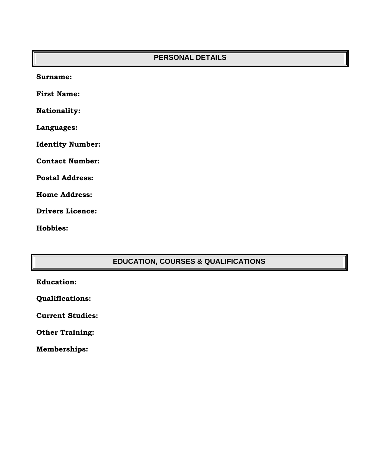| <b>PERSONAL DETAILS</b> |
|-------------------------|
| Surname:                |
| <b>First Name:</b>      |
| <b>Nationality:</b>     |
| Languages:              |
| <b>Identity Number:</b> |
| <b>Contact Number:</b>  |
| <b>Postal Address:</b>  |
| <b>Home Address:</b>    |
| <b>Drivers Licence:</b> |

Hobbies:

# **EDUCATION, COURSES & QUALIFICATIONS**

Qualifications:

Current Studies:

Other Training:

Memberships: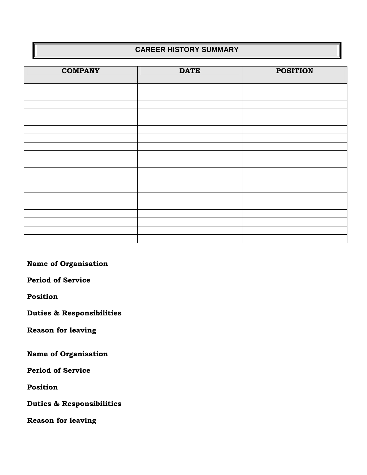### **CAREER HISTORY SUMMARY**

| <b>COMPANY</b> | <b>DATE</b> | <b>POSITION</b> |
|----------------|-------------|-----------------|
|                |             |                 |
|                |             |                 |
|                |             |                 |
|                |             |                 |
|                |             |                 |
|                |             |                 |
|                |             |                 |
|                |             |                 |
|                |             |                 |
|                |             |                 |
|                |             |                 |
|                |             |                 |
|                |             |                 |
|                |             |                 |
|                |             |                 |
|                |             |                 |
|                |             |                 |
|                |             |                 |
|                |             |                 |

Name of Organisation

Period of Service

Position

Duties & Responsibilities

Reason for leaving

Name of Organisation

Period of Service

Position

Duties & Responsibilities

Reason for leaving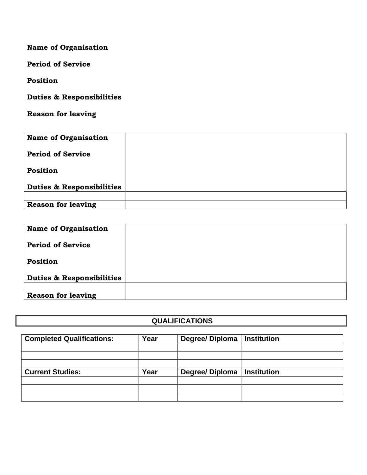Name of Organisation

Period of Service

Position

Duties & Responsibilities

Reason for leaving

| <b>Name of Organisation</b>          |  |
|--------------------------------------|--|
| <b>Period of Service</b>             |  |
| Position                             |  |
| <b>Duties &amp; Responsibilities</b> |  |
|                                      |  |
| <b>Reason for leaving</b>            |  |

| <b>Name of Organisation</b>          |  |
|--------------------------------------|--|
| <b>Period of Service</b>             |  |
| Position                             |  |
| <b>Duties &amp; Responsibilities</b> |  |
| <b>Reason for leaving</b>            |  |

### **QUALIFICATIONS**

| <b>Completed Qualifications:</b> | Year | Degree/Diploma | <b>Institution</b> |  |  |
|----------------------------------|------|----------------|--------------------|--|--|
|                                  |      |                |                    |  |  |
|                                  |      |                |                    |  |  |
|                                  |      |                |                    |  |  |
| <b>Current Studies:</b>          | Year | Degree/Diploma | <b>Institution</b> |  |  |
|                                  |      |                |                    |  |  |
|                                  |      |                |                    |  |  |
|                                  |      |                |                    |  |  |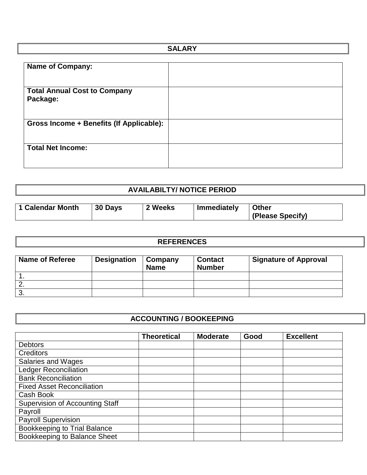| <b>SALARY</b> |
|---------------|
|               |
|               |
|               |
|               |
|               |

## **AVAILABILTY/ NOTICE PERIOD**

| 1 Calendar Month | 30 Days | ? Weeks | Immediately | <b>Other</b>     |
|------------------|---------|---------|-------------|------------------|
|                  |         |         |             |                  |
|                  |         |         |             | (Please Specify) |

#### **REFERENCES**

| <b>Name of Referee</b> | <b>Designation</b> | Company<br><b>Name</b> | <b>Contact</b><br><b>Number</b> | <b>Signature of Approval</b> |
|------------------------|--------------------|------------------------|---------------------------------|------------------------------|
|                        |                    |                        |                                 |                              |
|                        |                    |                        |                                 |                              |
|                        |                    |                        |                                 |                              |

### **ACCOUNTING / BOOKEEPING**

|                                        | <b>Theoretical</b> | <b>Moderate</b> | Good | <b>Excellent</b> |
|----------------------------------------|--------------------|-----------------|------|------------------|
| <b>Debtors</b>                         |                    |                 |      |                  |
| <b>Creditors</b>                       |                    |                 |      |                  |
| <b>Salaries and Wages</b>              |                    |                 |      |                  |
| <b>Ledger Reconciliation</b>           |                    |                 |      |                  |
| <b>Bank Reconciliation</b>             |                    |                 |      |                  |
| <b>Fixed Asset Reconciliation</b>      |                    |                 |      |                  |
| Cash Book                              |                    |                 |      |                  |
| <b>Supervision of Accounting Staff</b> |                    |                 |      |                  |
| Payroll                                |                    |                 |      |                  |
| <b>Payroll Supervision</b>             |                    |                 |      |                  |
| <b>Bookkeeping to Trial Balance</b>    |                    |                 |      |                  |
| Bookkeeping to Balance Sheet           |                    |                 |      |                  |